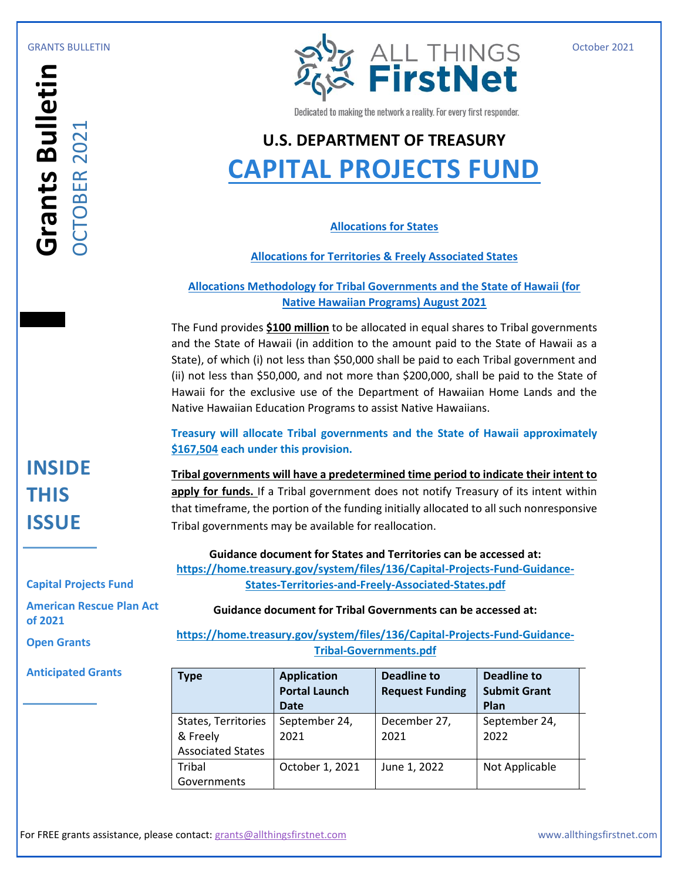

# **U.S. DEPARTMENT OF TREASURY [CAPITAL PROJECTS FUND](https://home.treasury.gov/policy-issues/coronavirus/assistance-for-state-local-and-tribal-governments/capital-projects-fund)**

## **[Allocations for States](https://home.treasury.gov/system/files/136/Allocations-States.pdf)**

## **[Allocations for Territories & Freely Associated States](https://home.treasury.gov/system/files/136/Allocations-Territories-Freely-Associated-States.pdf)**

## **[Allocations Methodology for Tribal Governments and the State of Hawaii \(for](https://home.treasury.gov/system/files/136/Allocations-Methodology-Tribal.pdf)  [Native Hawaiian Programs\) August 2021](https://home.treasury.gov/system/files/136/Allocations-Methodology-Tribal.pdf)**

|                                                            | <b>※ FirstNet</b><br>Dedicated to making the network a reality. For every first responder.                                                                                                                                                                                                                                                                                                                                                                                                                            |                                            |                                                                     |                                           |
|------------------------------------------------------------|-----------------------------------------------------------------------------------------------------------------------------------------------------------------------------------------------------------------------------------------------------------------------------------------------------------------------------------------------------------------------------------------------------------------------------------------------------------------------------------------------------------------------|--------------------------------------------|---------------------------------------------------------------------|-------------------------------------------|
|                                                            |                                                                                                                                                                                                                                                                                                                                                                                                                                                                                                                       |                                            |                                                                     |                                           |
|                                                            |                                                                                                                                                                                                                                                                                                                                                                                                                                                                                                                       |                                            |                                                                     |                                           |
|                                                            | <b>U.S. DEPARTMENT OF TREASURY</b><br><b>CAPITAL PROJECTS FUND</b>                                                                                                                                                                                                                                                                                                                                                                                                                                                    |                                            |                                                                     |                                           |
|                                                            |                                                                                                                                                                                                                                                                                                                                                                                                                                                                                                                       |                                            |                                                                     |                                           |
|                                                            |                                                                                                                                                                                                                                                                                                                                                                                                                                                                                                                       |                                            |                                                                     |                                           |
| <b>Grants Bulletin</b><br><b>OCTOBER 2021</b><br>OCTOBER 2 | <b>Allocations for States</b>                                                                                                                                                                                                                                                                                                                                                                                                                                                                                         |                                            |                                                                     |                                           |
|                                                            | <b>Allocations for Territories &amp; Freely Associated States</b>                                                                                                                                                                                                                                                                                                                                                                                                                                                     |                                            |                                                                     |                                           |
|                                                            | <b>Allocations Methodology for Tribal Governments and the State of Hawaii (for</b><br><b>Native Hawaiian Programs) August 2021</b>                                                                                                                                                                                                                                                                                                                                                                                    |                                            |                                                                     |                                           |
|                                                            | The Fund provides \$100 million to be allocated in equal shares to Tribal governments<br>and the State of Hawaii (in addition to the amount paid to the State of Hawaii as a<br>State), of which (i) not less than \$50,000 shall be paid to each Tribal government and<br>(ii) not less than \$50,000, and not more than \$200,000, shall be paid to the State of<br>Hawaii for the exclusive use of the Department of Hawaiian Home Lands and the<br>Native Hawaiian Education Programs to assist Native Hawaiians. |                                            |                                                                     |                                           |
|                                                            | Treasury will allocate Tribal governments and the State of Hawaii approximately<br>\$167,504 each under this provision.                                                                                                                                                                                                                                                                                                                                                                                               |                                            |                                                                     |                                           |
| <b>INSIDE</b>                                              | Tribal governments will have a predetermined time period to indicate their intent to                                                                                                                                                                                                                                                                                                                                                                                                                                  |                                            |                                                                     |                                           |
| <b>THIS</b>                                                | apply for funds. If a Tribal government does not notify Treasury of its intent within                                                                                                                                                                                                                                                                                                                                                                                                                                 |                                            |                                                                     |                                           |
|                                                            | that timeframe, the portion of the funding initially allocated to all such nonresponsive                                                                                                                                                                                                                                                                                                                                                                                                                              |                                            |                                                                     |                                           |
| <b>ISSUE</b>                                               | Tribal governments may be available for reallocation.                                                                                                                                                                                                                                                                                                                                                                                                                                                                 |                                            |                                                                     |                                           |
|                                                            |                                                                                                                                                                                                                                                                                                                                                                                                                                                                                                                       |                                            | Guidance document for States and Territories can be accessed at:    |                                           |
| <b>Capital Projects Fund</b>                               | https://home.treasury.gov/system/files/136/Capital-Projects-Fund-Guidance-<br>States-Territories-and-Freely-Associated-States.pdf                                                                                                                                                                                                                                                                                                                                                                                     |                                            |                                                                     |                                           |
| <b>American Rescue Plan Act</b>                            |                                                                                                                                                                                                                                                                                                                                                                                                                                                                                                                       |                                            | <b>Guidance document for Tribal Governments can be accessed at:</b> |                                           |
| of 2021                                                    |                                                                                                                                                                                                                                                                                                                                                                                                                                                                                                                       |                                            |                                                                     |                                           |
| <b>Open Grants</b>                                         | https://home.treasury.gov/system/files/136/Capital-Projects-Fund-Guidance-<br><b>Tribal-Governments.pdf</b>                                                                                                                                                                                                                                                                                                                                                                                                           |                                            |                                                                     |                                           |
| <b>Anticipated Grants</b>                                  | <b>Type</b>                                                                                                                                                                                                                                                                                                                                                                                                                                                                                                           | <b>Application</b><br><b>Portal Launch</b> | <b>Deadline to</b><br><b>Request Funding</b>                        | <b>Deadline to</b><br><b>Submit Grant</b> |
|                                                            |                                                                                                                                                                                                                                                                                                                                                                                                                                                                                                                       | <b>Date</b>                                | December 27,                                                        | Plan<br>September 24,                     |
|                                                            |                                                                                                                                                                                                                                                                                                                                                                                                                                                                                                                       |                                            |                                                                     |                                           |
|                                                            | States, Territories<br>& Freely                                                                                                                                                                                                                                                                                                                                                                                                                                                                                       | September 24,<br>2021                      | 2021                                                                | 2022                                      |
|                                                            | <b>Associated States</b>                                                                                                                                                                                                                                                                                                                                                                                                                                                                                              |                                            |                                                                     |                                           |
|                                                            | Tribal<br>Governments                                                                                                                                                                                                                                                                                                                                                                                                                                                                                                 | October 1, 2021                            | June 1, 2022                                                        | Not Applicable                            |

### **Capital Projects Fund**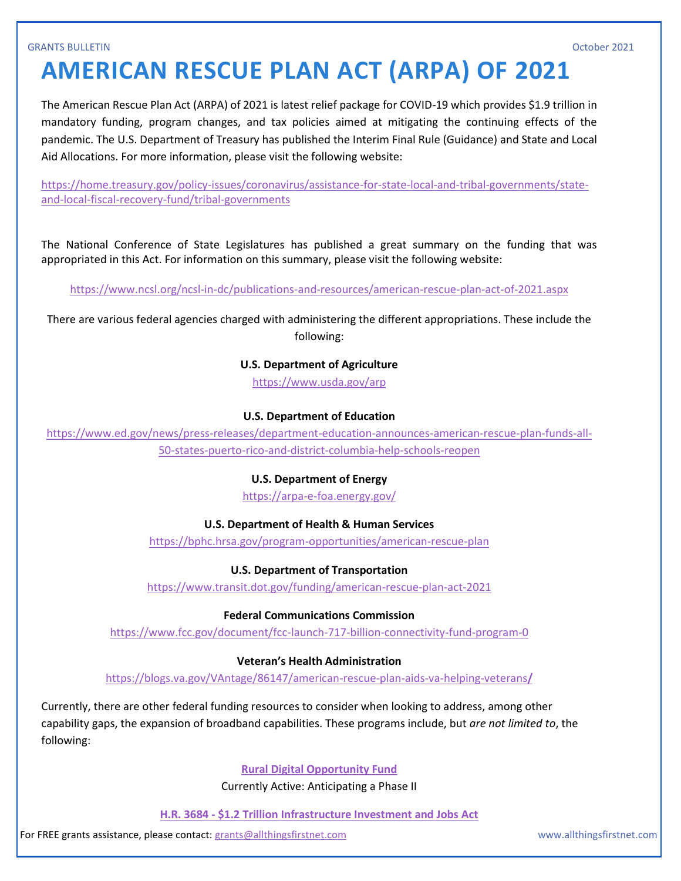### GRANTS BULLETIN October 2021

# **AMERICAN RESCUE PLAN ACT (ARPA) OF 2021**

The American Rescue Plan Act (ARPA) of 2021 is latest relief package for COVID-19 which provides \$1.9 trillion in mandatory funding, program changes, and tax policies aimed at mitigating the continuing effects of the pandemic. The U.S. Department of Treasury has published the Interim Final Rule (Guidance) and State and Local Aid Allocations. For more information, please visit the following website:

[https://home.treasury.gov/policy-issues/coronavirus/assistance-for-state-local-and-tribal-governments/state](https://home.treasury.gov/policy-issues/coronavirus/assistance-for-state-local-and-tribal-governments/state-and-local-fiscal-recovery-fund/tribal-governments)[and-local-fiscal-recovery-fund/tribal-governments](https://home.treasury.gov/policy-issues/coronavirus/assistance-for-state-local-and-tribal-governments/state-and-local-fiscal-recovery-fund/tribal-governments)

The National Conference of State Legislatures has published a great summary on the funding that was appropriated in this Act. For information on this summary, please visit the following website:

<https://www.ncsl.org/ncsl-in-dc/publications-and-resources/american-rescue-plan-act-of-2021.aspx>

There are various federal agencies charged with administering the different appropriations. These include the following:

### **U.S. Department of Agriculture**

<https://www.usda.gov/arp>

### **U.S. Department of Education**

[https://www.ed.gov/news/press-releases/department-education-announces-american-rescue-plan-funds-all-](https://www.ed.gov/news/press-releases/department-education-announces-american-rescue-plan-funds-all-50-states-puerto-rico-and-district-columbia-help-schools-reopen)[50-states-puerto-rico-and-district-columbia-help-schools-reopen](https://www.ed.gov/news/press-releases/department-education-announces-american-rescue-plan-funds-all-50-states-puerto-rico-and-district-columbia-help-schools-reopen)

### **U.S. Department of Energy**

<https://arpa-e-foa.energy.gov/>

### **U.S. Department of Health & Human Services**

<https://bphc.hrsa.gov/program-opportunities/american-rescue-plan>

### **U.S. Department of Transportation**

<https://www.transit.dot.gov/funding/american-rescue-plan-act-2021>

### **Federal Communications Commission**

<https://www.fcc.gov/document/fcc-launch-717-billion-connectivity-fund-program-0>

### **Veteran's Health Administration**

[https://blogs.va.gov/VAntage/86147/american-rescue-plan-aids-va-helping-veterans](https://blogs.va.gov/VAntage/86147/american-rescue-plan-aids-va-helping-veterans/)**[/](https://blogs.va.gov/VAntage/86147/american-rescue-plan-aids-va-helping-veterans/)**

Currently, there are other federal funding resources to consider when looking to address, among other capability gaps, the expansion of broadband capabilities. These programs include, but *are not limited to*, the following:

### **[Rural Digital Opportunity Fund](https://www.fcc.gov/document/fcc-launches-20-billion-rural-digital-opportunity-fund-0)**

Currently Active: Anticipating a Phase II

**H.R. 3684 - [\\$1.2 Trillion Infrastructure Investment and Jobs Act](https://www.congress.gov/bill/117th-congress/house-bill/3684/text)**

For FREE grants assistance, please contact[: grants@allthingsfirstnet.com](mailto:grants@allthingsfirstnet.com) www.allthingsfirstnet.com www.allthingsfirstnet.com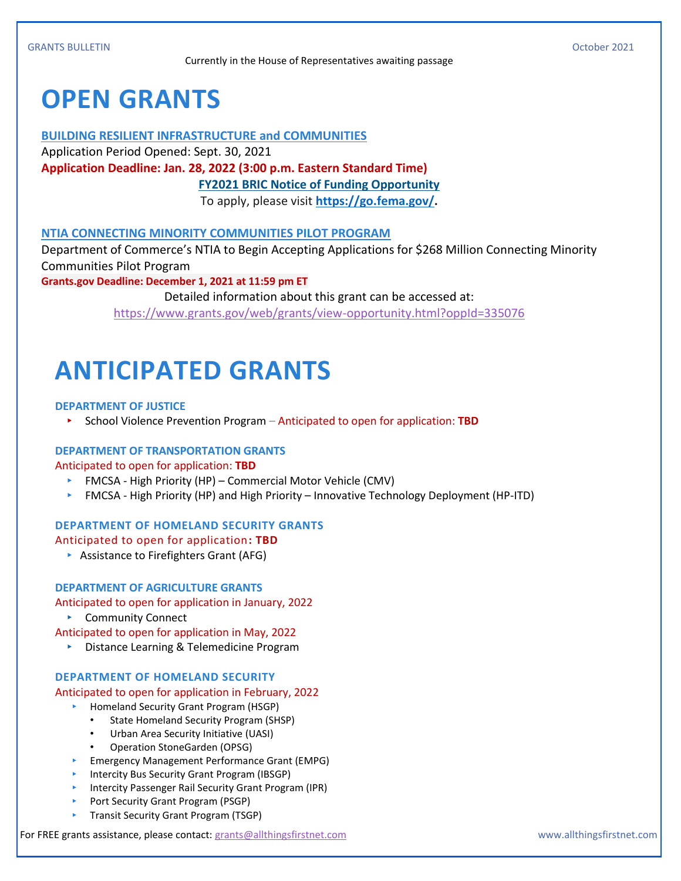# **OPEN GRANTS**

### **BUILDING RESILIENT INFRASTRUCTURE and COMMUNITIES**

Application Period Opened: Sept. 30, 2021

**Application Deadline: Jan. 28, 2022 (3:00 p.m. Eastern Standard Time)**

**[FY2021 BRIC Notice of Funding Opportunity](https://www.fema.gov/sites/default/files/documents/fema_nofo-fiscal-year-2021-building-resilient-infrastructure.pdf)**

To apply, please visit **[https://go.fema.gov/.](https://go.fema.gov/)**

## **NTIA CONNECTING MINORITY COMMUNITIES PILOT PROGRAM**

Department of Commerce's NTIA to Begin Accepting Applications for \$268 Million Connecting Minority Communities Pilot Program

**Grants.gov Deadline: December 1, 2021 at 11:59 pm ET**

Detailed information about this grant can be accessed at: <https://www.grants.gov/web/grants/view-opportunity.html?oppId=335076>

# **ANTICIPATED GRANTS**

### **DEPARTMENT OF JUSTICE**

▸ School Violence Prevention Program – Anticipated to open for application: **TBD**

### **DEPARTMENT OF TRANSPORTATION GRANTS**

Anticipated to open for application: **TBD**

- ▸ FMCSA High Priority (HP) Commercial Motor Vehicle (CMV)
- ▸ FMCSA High Priority (HP) and High Priority Innovative Technology Deployment (HP-ITD)

### **DEPARTMENT OF HOMELAND SECURITY GRANTS**

### Anticipated to open for application**: TBD**

▸ Assistance to Firefighters Grant (AFG)

### **DEPARTMENT OF AGRICULTURE GRANTS**

Anticipated to open for application in January, 2022

- ▸ Community Connect
- Anticipated to open for application in May, 2022
	- ▸ Distance Learning & Telemedicine Program

### **DEPARTMENT OF HOMELAND SECURITY**

### Anticipated to open for application in February, 2022

- ▸ Homeland Security Grant Program (HSGP)
	- State Homeland Security Program (SHSP)
	- Urban Area Security Initiative (UASI)
	- Operation StoneGarden (OPSG)
- ▸ Emergency Management Performance Grant (EMPG)
- ▸ Intercity Bus Security Grant Program (IBSGP)
- ▸ Intercity Passenger Rail Security Grant Program (IPR)
- ▸ Port Security Grant Program (PSGP)
- ▸ Transit Security Grant Program (TSGP)

For FREE grants assistance, please contact[: grants@allthingsfirstnet.com](mailto:grants@allthingsfirstnet.com) www.allthingsfirstnet.com www.allthingsfirstnet.com